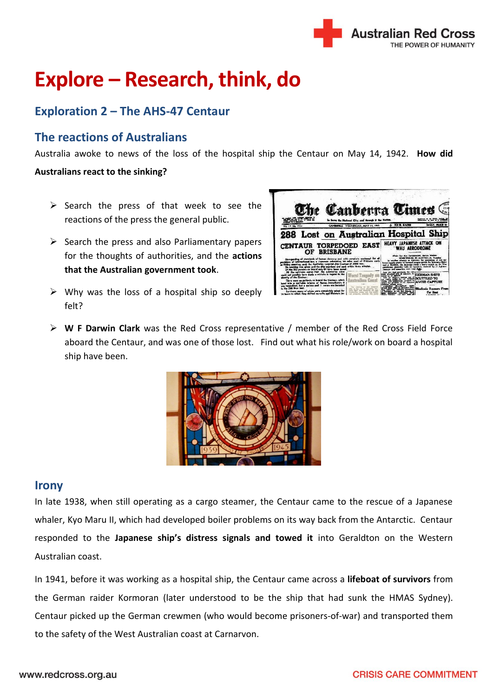

# **Explore – Research, think, do**

## **Exploration 2 – The AHS-47 Centaur**

## **The reactions of Australians**

Australia awoke to news of the loss of the hospital ship the Centaur on May 14, 1942. **How did** 

### **Australians react to the sinking?**

- $\triangleright$  Search the press of that week to see the reactions of the press the general public.
- $\triangleright$  Search the press and also Parliamentary papers for the thoughts of authorities, and the **actions that the Australian government took**.
- $\triangleright$  Why was the loss of a hospital ship so deeply felt?



 **W F Darwin Clark** was the Red Cross representative / member of the Red Cross Field Force aboard the Centaur, and was one of those lost. Find out what his role/work on board a hospital ship have been.



### **Irony**

In late 1938, when still operating as a cargo steamer, the Centaur came to the rescue of a Japanese whaler, Kyo Maru II, which had developed boiler problems on its way back from the Antarctic. Centaur responded to the **Japanese ship's distress signals and towed it** into Geraldton on the Western Australian coast.

In 1941, before it was working as a hospital ship, the Centaur came across a **lifeboat of survivors** from the German raider Kormoran (later understood to be the ship that had sunk the HMAS Sydney). Centaur picked up the German crewmen (who would become prisoners-of-war) and transported them to the safety of the West Australian coast at Carnarvon.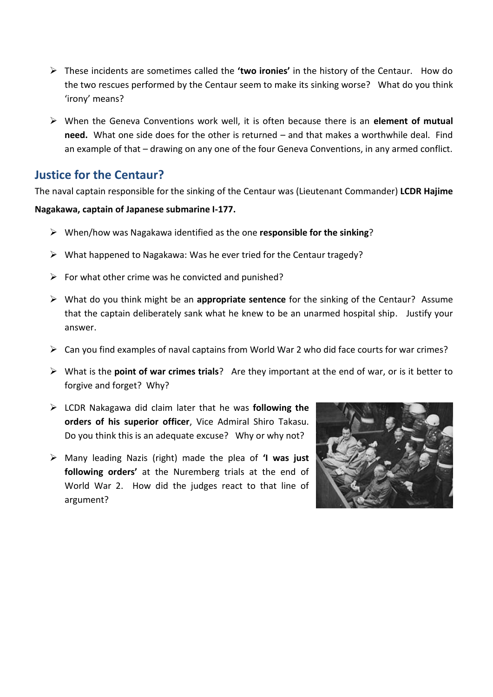- These incidents are sometimes called the **'two ironies'** in the history of the Centaur. How do the two rescues performed by the Centaur seem to make its sinking worse? What do you think 'irony' means?
- When the Geneva Conventions work well, it is often because there is an **element of mutual need.** What one side does for the other is returned – and that makes a worthwhile deal. Find an example of that – drawing on any one of the four Geneva Conventions, in any armed conflict.

## **Justice for the Centaur?**

The naval captain responsible for the sinking of the Centaur was (Lieutenant Commander) **LCDR Hajime** 

#### **Nagakawa, captain of Japanese submarine I-177.**

- When/how was Nagakawa identified as the one **responsible for the sinking**?
- $\triangleright$  What happened to Nagakawa: Was he ever tried for the Centaur tragedy?
- $\triangleright$  For what other crime was he convicted and punished?
- What do you think might be an **appropriate sentence** for the sinking of the Centaur? Assume that the captain deliberately sank what he knew to be an unarmed hospital ship. Justify your answer.
- $\triangleright$  Can you find examples of naval captains from World War 2 who did face courts for war crimes?
- What is the **point of war crimes trials**? Are they important at the end of war, or is it better to forgive and forget? Why?
- LCDR Nakagawa did claim later that he was **following the orders of his superior officer**, Vice Admiral Shiro Takasu. Do you think this is an adequate excuse? Why or why not?
- Many leading Nazis (right) made the plea of **'I was just following orders'** at the Nuremberg trials at the end of World War 2. How did the judges react to that line of argument?